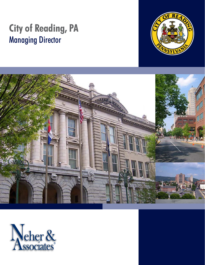# **City of Reading, PA** Managing Director





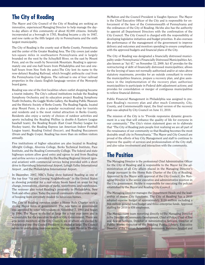# **The City of Reading**

The Mayor and City Council of the City of Reading are seeking an innovative, experienced Managing Director to help manage the dayto-day affairs of this community of about 82,000 citizens. Initially incorporated as a borough in 1783, Reading became a city in 1847, and now ranks as the fifth largest city in Pennsylvania and the sixth largest municipality.

The City of Reading is the county seat of Berks County, Pennsylvania and the center of the Greater Reading Area. The City covers just under ten-square miles in southeastern Pennsylvania and is largely bounded on the west by the Schuylkill River, on the east by Mount Penn, and on the south by Neversink Mountain. Reading is approximately one and one-half hours from Philadelphia and two and onehalf hours from New York (by auto).The City lent its name to the now-defunct Reading Railroad, which brought anthracite coal from the Pennsylvania Coal Regions. The railroad is one of four railroad properties in the classic English-language version of the Monopoly board game.

Reading was one of the first localities where outlet shopping became a tourist industry. The City's cultural institutions include the Reading Symphony Orchestra and its education project Reading Symphony Youth Orchestra, the Goggle Works Gallery, the Reading Public Museum and the Historic Society of Berks County. The Reading Pagoda, located atop Mount Penn, is also a popular recreational stop for tourists and residents and is the most visited attraction in Berks County. Residents also enjoy a variety of choices of outdoor activities and sports including the Reading Phillies (a double-A Eastern League baseball team), the Reading Royals (East Coast Hockey League Ice Hockey team), the Reading Express (an American Indoor Football League team), Reading United (Soccer), and Reading Buccaneers (Drum and Bugle Corps). Reading has more than six million visitors annually.

Five institutions of higher education are also located in Reading: Albright College, Alvernia College, Berks Technical Institute, Pace Institute, and the Reading Community College. The federal and state highways system allow good entry and egress to and from Reading and airline service is provided by the Reading Regional Airport (general aviation) with commercial service being provided with a short drive to Harrisburg International Airport, Lehigh Valley International Airport , and the Philadelphia International Airport.

In December, 2007, NBC's Today show featured Reading as one of the top four "Up and Coming Neighborhoods" in the United States as showing potential for a real estate boom based on areas for big change, renovations, cleanups of parks, waterfronts, and warehouses. The reviewer also noted Reading's proximity to Philadelphia, New York and other cities. Today the overall community offers a wide range of housing from extremely modest to luxurious homes.

The City of Reading operates under a Home Rule Charter with a strong Mayor form of government. The new form of government was approved by voter referendum on November 7, 1993 and began in 1996. The Mayor is elected at large for a four year term and is accountable for the executive branch of City Government. There are also seven members of the City Council, six of whom are elected by districts and one (the Council President) is elected at large. The Council serves in overlapping four-year terms. The current Mayor is Thomas McMahon and the Council President is Vaughn Spencer. The Mayor is the Chief Executive Officer of the City and is responsible for enforcement of the laws of the Commonwealth of Pennsylvania and the ordinances of the City of Reading. He/she also has the authority to appoint all Department Directors with the confirmation of the City Council. The City Council is charged with the responsibility of developing legislative initiatives and budget priorities. It also oversees the performance of the management of the government to improve delivery and outcomes and monitors spending to ensure compliance with the approved budgets and financial plans of the City.

The City of Reading was designated a financially distressed municipality under Pennsylvania's Financially Distressed Municipalities Act, also known as "Act 47," on November 12, 2009. Act 47 provides for the restructuring of debt of financially distressed municipalities; allows for the levying of taxes not normally authorized and/or at rates above statutory maximums, provides for an outside consultant to review the municipalities finances, prepare a recovery plan, and give assistance in the implementation of the recovery plan; authorizes municipalities to participate in Federal debt adjustment actions; and provides for consolidation or merger of contiguous municipalities to relieve financial distress.

Public Financial Management in Philadelphia was assigned to prepare Reading's recovery plan and after much Community, City, County, and Commonwealth input, the final version of the recovery plan was adopted by City Council on June 11, 2010.

The mission of the City is to "Provide responsive dynamic government in a way that will enhance the quality of life for everyone in our community." The City's vision statement goes on to elaborate that "The City of Reading puts people first realizing we are all part of the renaissance of our community so that Reading becomes the most desirable small city in Pennsylvania." The Mayor and City Council are proud of the efforts of key City Management and staff to continue to improve the quality of services and professionalism of the City staff, and also value involvement and interaction with the community.

## **The Position**

The Managing Director is the professional Chief Administrative Officer for the City of Reading and is responsible to the Mayor for the administration of all City affairs placed in the Managing Director's charge pursuant to the Home Rule Charter of the City of Reading. Appointed by the Mayor with approval of the City Council, the Managing Director is the senior executive and administrative position in the City government. He/she is responsible for executing the policies established by the Mayor and Reading City Council

The Managing Director manages the Department Heads and the leadership of major City functions. The City of Reading has a 2010 adopted expense budget of approximately \$120 million including a \$64 million general fund budget and three enterprise funds. Approved staffing for 2010 is 656 employees.

The Management team reporting directly to the Managing Director is the Director of Community Development, Chief of Police, Chief of Fire and Rescue Services, Director of Administrative Services, Director of Public Works, Director of the Reading Public Library, Executive Director of the Human Relations Commission, Business Analyst and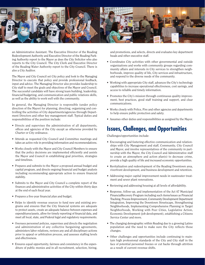

an Administrative Assistant. The Executive Director of the Reading Redevelopment Authority and Executive Director of the Reading Parking Authority report to the Mayor as does the City Solicitor who also reports to the City Council. The City Clerk and Executive Director of the Reading Water Authority report to the City Council. There is also a City Auditor.

The Mayor and City Council set City policy and look to the Managing Director to execute that policy and provide professional feedback, input and advice. The Managing Director also provides leadership to City staff to meet the goals and objectives of the Mayor and Council. The successful candidate will have strong team building, leadership, financial/budgeting, and communication and public relations skills, as well as the ability to work well with the community.

In general, the Managing Director is responsible (under policy direction of the Mayor) for planning, directing, organizing and controlling the activities of City departments/agencies through Department Directors and other key management staff. Typical duties and responsibilities of the position include:

- Directs and supervises the administration of all departments, offices and agencies of the City except as otherwise provided by Charter or City ordinance.
- Attends as requested City Council and Committee meetings and takes an active role in providing information and recommendations.
- Works closely with the Mayor and City Council Members to ensure that the policy decisions are implemented efficiently and assists the Mayor and Council in establishing goal priorities, strategies and timelines.
- Prepares and submits to the Mayor a proposed annual budget and capital program, and directs ongoing financial and budget analysis including recommending appropriate action to ensure financial stability.
- Submits to the Mayor and City Council a complete report of the finances and administrative activities of the City within thirty days at the end of each fiscal year.
- Prepares a five-year financial plan and budget.
- Helps to identify revenue sources to fund new and existing programs and ensures that the City financial systems are adequate to protect assets, create an adequate balance between expenses and expenditures/assets, allow for timely reporting of financial data, and meet all local, state, and Federal legal and regulatory requirements.
- Oversees personnel policies, supervises and directs the negotiation and administration of any collective bargaining agreements, administers labor relations, reviews any and all disciplinary actions prior to appeal or arbitration process, and assesses staffing levels and effectiveness.
- Ensures equal opportunity, fairness and consistency in the expenditure of public monies and in all recruitment, selection, hiring,

and promotions, and selects, directs and evaluates key department heads and other executive staff.

- Coordinates City activities with other governmental and outside organizations and works with community groups regarding community affairs and interests in City services to strengthen neighborhoods, improve quality of life, City services and infrastructure, and respond to the diverse needs of the community.
- Working with appropriate City staff, advances the City's technology capabilities to increase operational effectiveness, cost savings, and access to reliable and timely information.
- Promotes the City's mission through continuous quality improvement, best practices, good staff training and support, and clear communications.
- Works closely with Police, Fire and other agencies and departments to help ensure public protection and safety.
- Assumes other duties and responsibilities as assigned by the Mayor.

## **Issues, Challenges, and Opportunities**

Challenges/opportunities include:

- Encouraging and fostering effective communication and relationships with City Management and staff, Community, City Council and Mayor, and involve representatives of the community in partnership with the Mayor, the City Council and Administrative staff to create an atmosphere and action plan(s) to decrease crime, provide a high quality of life and increased economic opportunities.
- Revitalization and redevelopment of the Reading Downtown area, riverfront development, and business development and retention.
- Addressing major capital improvement needs in wastewater treatment and sewer plant renovations.
- Reviewing and addressing housing at all levels of affordability.
- Response, follow-up, and implementation of the Act 47 Municipal FinancialRecovery Program including such items/issues as Financial Tracking, Process Improvement, Community Development Department Integration, Improving the Downtown Streetscape, Strengthening Neighborhoods, Implementing Comprehensive Planning in Target Neighborhoods, Working with Peer Cities, Legislative Action, Economic Development (job development), establishing a Citizens Service Center and more.
- The changing demographic within Reading due to a growing Latino population and the need to make sure the City reflects those changes.
- Other challenges and opportunities include continuing to maintain high professional standards of the City and City staff in the face of potential personnel freezes or cut backs through attrition as a result of current revenue shifts.